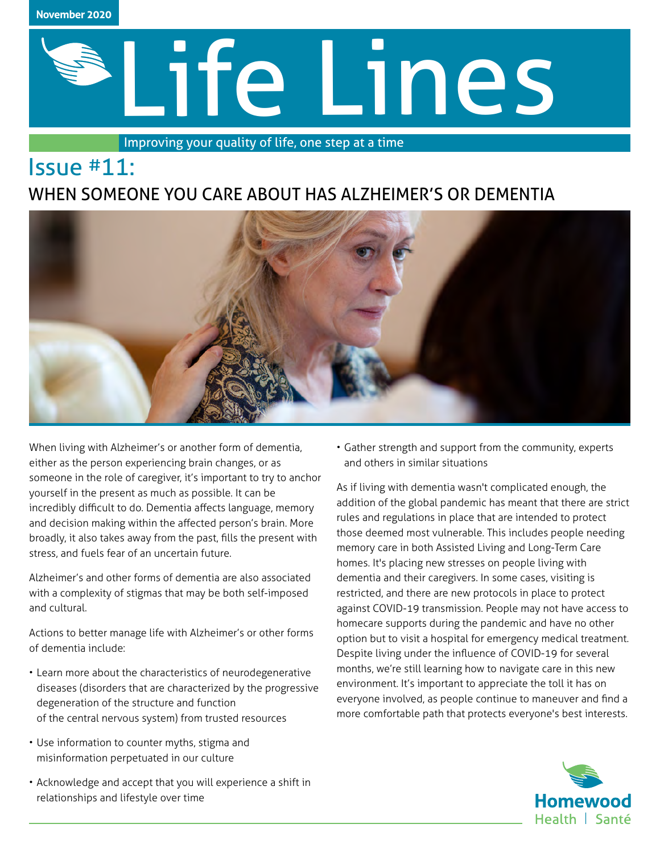

Issue #11:

# Life Lines

Improving your quality of life, one step at a time

## WHEN SOMEONE YOU CARE ABOUT HAS ALZHEIMER'S OR DEMENTIA



When living with Alzheimer's or another form of dementia, either as the person experiencing brain changes, or as someone in the role of caregiver, it's important to try to anchor yourself in the present as much as possible. It can be incredibly difficult to do. Dementia affects language, memory and decision making within the affected person's brain. More broadly, it also takes away from the past, fills the present with stress, and fuels fear of an uncertain future.

Alzheimer's and other forms of dementia are also associated with a complexity of stigmas that may be both self-imposed and cultural.

Actions to better manage life with Alzheimer's or other forms of dementia include:

- Learn more about the characteristics of neurodegenerative diseases (disorders that are characterized by the progressive degeneration of the structure and function of the central nervous system) from trusted resources
- Use information to counter myths, stigma and misinformation perpetuated in our culture
- Acknowledge and accept that you will experience a shift in relationships and lifestyle over time

• Gather strength and support from the community, experts and others in similar situations

As if living with dementia wasn't complicated enough, the addition of the global pandemic has meant that there are strict rules and regulations in place that are intended to protect those deemed most vulnerable. This includes people needing memory care in both Assisted Living and Long-Term Care homes. It's placing new stresses on people living with dementia and their caregivers. In some cases, visiting is restricted, and there are new protocols in place to protect against COVID-19 transmission. People may not have access to homecare supports during the pandemic and have no other option but to visit a hospital for emergency medical treatment. Despite living under the influence of COVID-19 for several months, we're still learning how to navigate care in this new environment. It's important to appreciate the toll it has on everyone involved, as people continue to maneuver and find a more comfortable path that protects everyone's best interests.

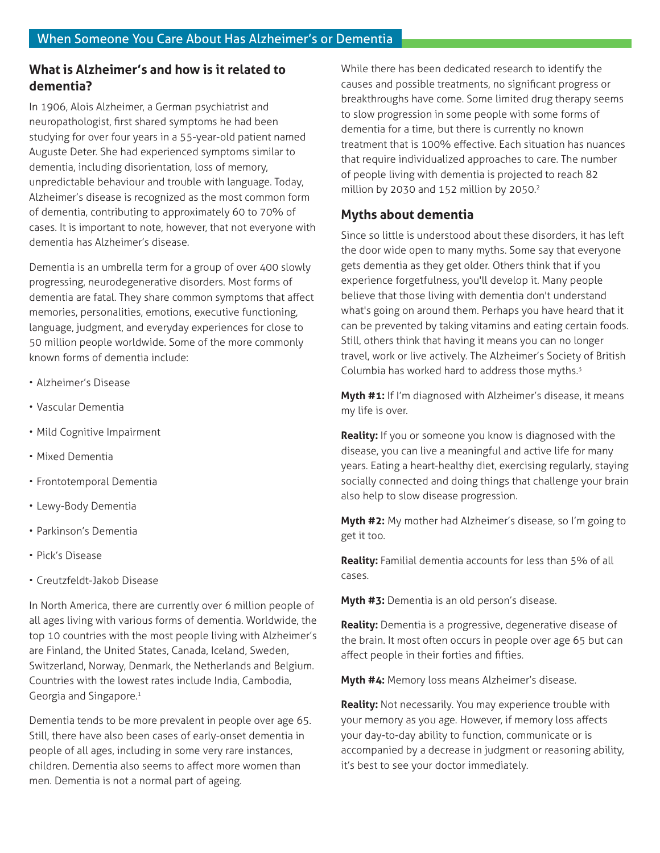#### **What is Alzheimer's and how is it related to dementia?**

In 1906, Alois Alzheimer, a German psychiatrist and neuropathologist, first shared symptoms he had been studying for over four years in a 55-year-old patient named Auguste Deter. She had experienced symptoms similar to dementia, including disorientation, loss of memory, unpredictable behaviour and trouble with language. Today, Alzheimer's disease is recognized as the most common form of dementia, contributing to approximately 60 to 70% of cases. It is important to note, however, that not everyone with dementia has Alzheimer's disease.

Dementia is an umbrella term for a group of over 400 slowly progressing, neurodegenerative disorders. Most forms of dementia are fatal. They share common symptoms that affect memories, personalities, emotions, executive functioning, language, judgment, and everyday experiences for close to 50 million people worldwide. Some of the more commonly known forms of dementia include:

- Alzheimer's Disease
- Vascular Dementia
- Mild Cognitive Impairment
- Mixed Dementia
- Frontotemporal Dementia
- Lewy-Body Dementia
- Parkinson's Dementia
- Pick's Disease
- Creutzfeldt-Jakob Disease

In North America, there are currently over 6 million people of all ages living with various forms of dementia. Worldwide, the top 10 countries with the most people living with Alzheimer's are Finland, the United States, Canada, Iceland, Sweden, Switzerland, Norway, Denmark, the Netherlands and Belgium. Countries with the lowest rates include India, Cambodia, Georgia and Singapore.<sup>1</sup>

Dementia tends to be more prevalent in people over age 65. Still, there have also been cases of early-onset dementia in people of all ages, including in some very rare instances, children. Dementia also seems to affect more women than men. Dementia is not a normal part of ageing.

While there has been dedicated research to identify the causes and possible treatments, no significant progress or breakthroughs have come. Some limited drug therapy seems to slow progression in some people with some forms of dementia for a time, but there is currently no known treatment that is 100% effective. Each situation has nuances that require individualized approaches to care. The number of people living with dementia is projected to reach 82 million by 2030 and 152 million by 2050.<sup>2</sup>

#### **Myths about dementia**

Since so little is understood about these disorders, it has left the door wide open to many myths. Some say that everyone gets dementia as they get older. Others think that if you experience forgetfulness, you'll develop it. Many people believe that those living with dementia don't understand what's going on around them. Perhaps you have heard that it can be prevented by taking vitamins and eating certain foods. Still, others think that having it means you can no longer travel, work or live actively. The Alzheimer's Society of British Columbia has worked hard to address those myths.<sup>3</sup>

**Myth #1:** If I'm diagnosed with Alzheimer's disease, it means my life is over.

**Reality:** If you or someone you know is diagnosed with the disease, you can live a meaningful and active life for many years. Eating a heart-healthy diet, exercising regularly, staying socially connected and doing things that challenge your brain also help to slow disease progression.

**Myth #2:** My mother had Alzheimer's disease, so I'm going to get it too.

**Reality:** Familial dementia accounts for less than 5% of all cases.

**Myth #3:** Dementia is an old person's disease.

**Reality:** Dementia is a progressive, degenerative disease of the brain. It most often occurs in people over age 65 but can affect people in their forties and fifties.

**Myth #4:** Memory loss means Alzheimer's disease.

**Reality:** Not necessarily. You may experience trouble with your memory as you age. However, if memory loss affects your day-to-day ability to function, communicate or is accompanied by a decrease in judgment or reasoning ability, it's best to see your doctor immediately.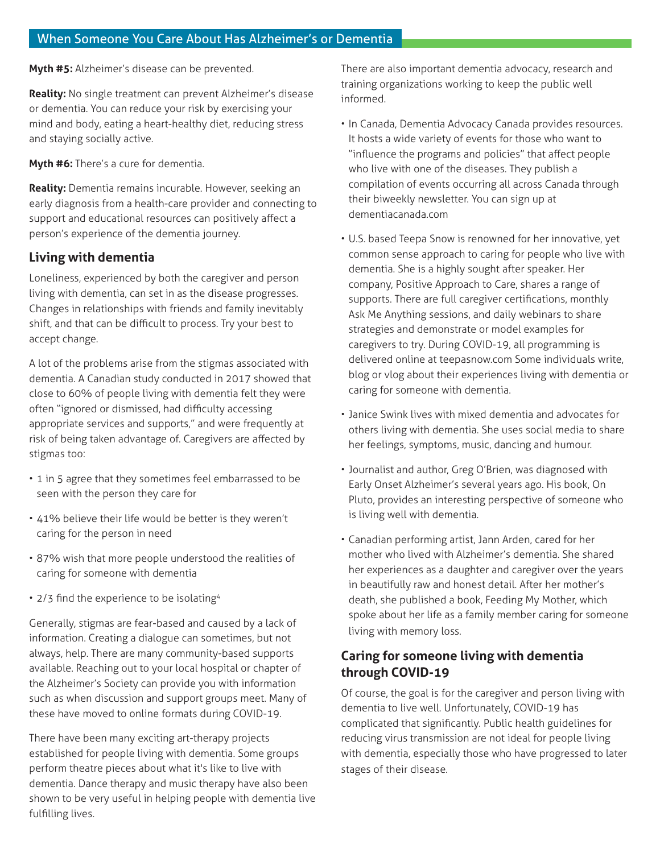**Myth #5:** Alzheimer's disease can be prevented.

**Reality:** No single treatment can prevent Alzheimer's disease or dementia. You can reduce your risk by exercising your mind and body, eating a heart-healthy diet, reducing stress and staying socially active.

**Myth #6:** There's a cure for dementia.

**Reality:** Dementia remains incurable. However, seeking an early diagnosis from a health-care provider and connecting to support and educational resources can positively affect a person's experience of the dementia journey.

#### **Living with dementia**

Loneliness, experienced by both the caregiver and person living with dementia, can set in as the disease progresses. Changes in relationships with friends and family inevitably shift, and that can be difficult to process. Try your best to accept change.

A lot of the problems arise from the stigmas associated with dementia. A Canadian study conducted in 2017 showed that close to 60% of people living with dementia felt they were often "ignored or dismissed, had difficulty accessing appropriate services and supports," and were frequently at risk of being taken advantage of. Caregivers are affected by stigmas too:

- 1 in 5 agree that they sometimes feel embarrassed to be seen with the person they care for
- 41% believe their life would be better is they weren't caring for the person in need
- 87% wish that more people understood the realities of caring for someone with dementia
- 2/3 find the experience to be isolating<sup>4</sup>

Generally, stigmas are fear-based and caused by a lack of information. Creating a dialogue can sometimes, but not always, help. There are many community-based supports available. Reaching out to your local hospital or chapter of the Alzheimer's Society can provide you with information such as when discussion and support groups meet. Many of these have moved to online formats during COVID-19.

There have been many exciting art-therapy projects established for people living with dementia. Some groups perform theatre pieces about what it's like to live with dementia. Dance therapy and music therapy have also been shown to be very useful in helping people with dementia live fulfilling lives.

There are also important dementia advocacy, research and training organizations working to keep the public well informed.

- In Canada, Dementia Advocacy Canada provides resources. It hosts a wide variety of events for those who want to "influence the programs and policies" that affect people who live with one of the diseases. They publish a compilation of events occurring all across Canada through their biweekly newsletter. You can sign up at dementiacanada.com
- U.S. based Teepa Snow is renowned for her innovative, yet common sense approach to caring for people who live with dementia. She is a highly sought after speaker. Her company, Positive Approach to Care, shares a range of supports. There are full caregiver certifications, monthly Ask Me Anything sessions, and daily webinars to share strategies and demonstrate or model examples for caregivers to try. During COVID-19, all programming is delivered online at teepasnow.com Some individuals write, blog or vlog about their experiences living with dementia or caring for someone with dementia.
- Janice Swink lives with mixed dementia and advocates for others living with dementia. She uses social media to share her feelings, symptoms, music, dancing and humour.
- Journalist and author, Greg O'Brien, was diagnosed with Early Onset Alzheimer's several years ago. His book, On Pluto, provides an interesting perspective of someone who is living well with dementia.
- Canadian performing artist, Jann Arden, cared for her mother who lived with Alzheimer's dementia. She shared her experiences as a daughter and caregiver over the years in beautifully raw and honest detail. After her mother's death, she published a book, Feeding My Mother, which spoke about her life as a family member caring for someone living with memory loss.

### **Caring for someone living with dementia through COVID-19**

Of course, the goal is for the caregiver and person living with dementia to live well. Unfortunately, COVID-19 has complicated that significantly. Public health guidelines for reducing virus transmission are not ideal for people living with dementia, especially those who have progressed to later stages of their disease.